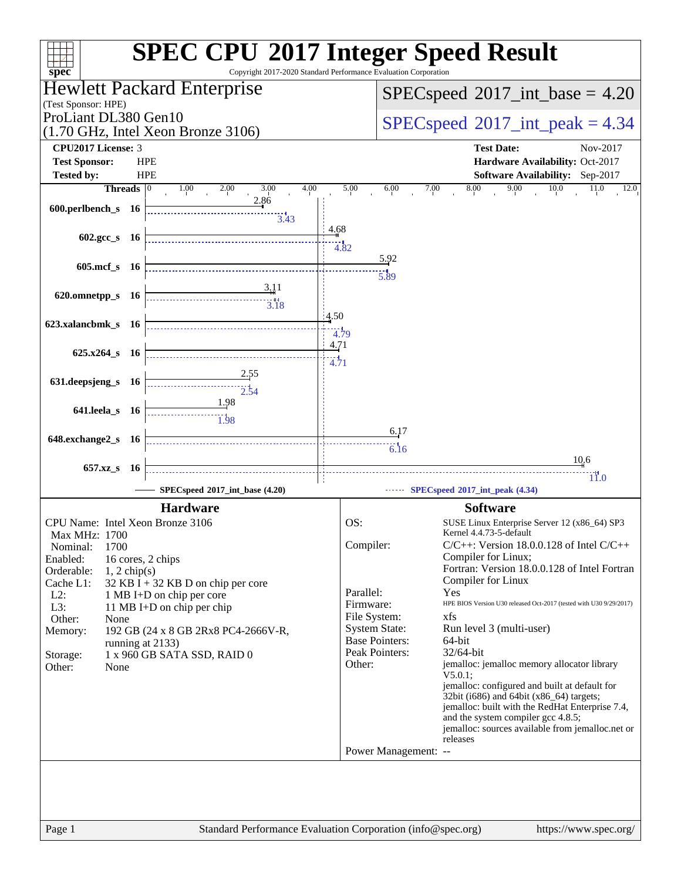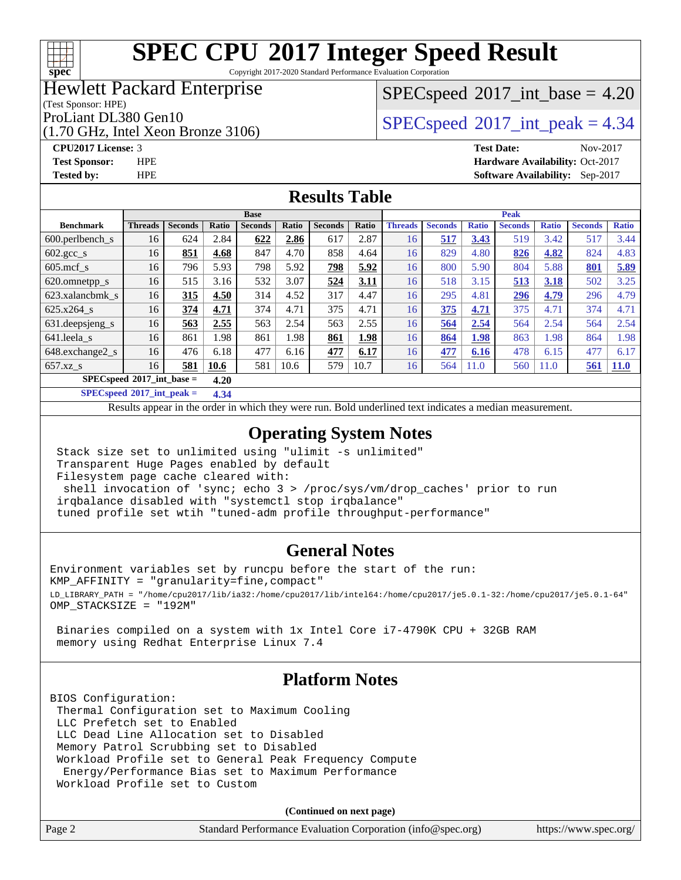Copyright 2017-2020 Standard Performance Evaluation Corporation

#### Hewlett Packard Enterprise

(Test Sponsor: HPE)

**[spec](http://www.spec.org/)**

(1.70 GHz, Intel Xeon Bronze 3106)

 $SPECspeed^{\circledcirc}2017\_int\_base = 4.20$  $SPECspeed^{\circledcirc}2017\_int\_base = 4.20$ 

ProLiant DL380 Gen10  $SPECspeed@2017$  $SPECspeed@2017$ \_int\_peak = 4.34

**[Tested by:](http://www.spec.org/auto/cpu2017/Docs/result-fields.html#Testedby)** HPE **[Software Availability:](http://www.spec.org/auto/cpu2017/Docs/result-fields.html#SoftwareAvailability)** Sep-2017

**[CPU2017 License:](http://www.spec.org/auto/cpu2017/Docs/result-fields.html#CPU2017License)** 3 **[Test Date:](http://www.spec.org/auto/cpu2017/Docs/result-fields.html#TestDate)** Nov-2017 **[Test Sponsor:](http://www.spec.org/auto/cpu2017/Docs/result-fields.html#TestSponsor)** HPE **[Hardware Availability:](http://www.spec.org/auto/cpu2017/Docs/result-fields.html#HardwareAvailability)** Oct-2017

#### **[Results Table](http://www.spec.org/auto/cpu2017/Docs/result-fields.html#ResultsTable)**

|                                      | <b>Base</b>    |                |       |                |       |                |       | <b>Peak</b>    |                |              |                |              |                |              |
|--------------------------------------|----------------|----------------|-------|----------------|-------|----------------|-------|----------------|----------------|--------------|----------------|--------------|----------------|--------------|
| <b>Benchmark</b>                     | <b>Threads</b> | <b>Seconds</b> | Ratio | <b>Seconds</b> | Ratio | <b>Seconds</b> | Ratio | <b>Threads</b> | <b>Seconds</b> | <b>Ratio</b> | <b>Seconds</b> | <b>Ratio</b> | <b>Seconds</b> | <b>Ratio</b> |
| $600.$ perlbench_s                   | 16             | 624            | 2.84  | 622            | 2.86  | 617            | 2.87  | 16             | 517            | 3.43         | 519            | 3.42         | 517            | 3.44         |
| $602 \text{.} \text{gcc}\text{_<}$ s | 16             | 851            | 4.68  | 847            | 4.70  | 858            | 4.64  | 16             | 829            | 4.80         | 826            | 4.82         | 824            | 4.83         |
| $605$ .mcf s                         | 16             | 796            | 5.93  | 798            | 5.92  | 798            | 5.92  | 16             | 800            | 5.90         | 804            | 5.88         | 801            | 5.89         |
| 620.omnetpp_s                        | 16             | 515            | 3.16  | 532            | 3.07  | 524            | 3.11  | 16             | 518            | 3.15         | 513            | 3.18         | 502            | 3.25         |
| 623.xalancbmk s                      | 16             | 315            | 4.50  | 314            | 4.52  | 317            | 4.47  | 16             | 295            | 4.81         | 296            | 4.79         | 296            | 4.79         |
| 625.x264 s                           | 16             | 374            | 4.71  | 374            | 4.71  | 375            | 4.71  | 16             | 375            | 4.71         | 375            | 4.71         | 374            | 4.71         |
| 631.deepsjeng_s                      | 16             | 563            | 2.55  | 563            | 2.54  | 563            | 2.55  | 16             | 564            | 2.54         | 564            | 2.54         | 564            | 2.54         |
| 641.leela s                          | 16             | 861            | 1.98  | 861            | 1.98  | 861            | 1.98  | 16             | 864            | 1.98         | 863            | 1.98         | 864            | 1.98         |
| 648.exchange2_s                      | 16             | 476            | 6.18  | 477            | 6.16  | 477            | 6.17  | 16             | 477            | 6.16         | 478            | 6.15         | 477            | 6.17         |
| $657.xz$ s                           | 16             | 581            | 10.6  | 581            | 10.6  | 579            | 10.7  | 16             | 564            | 11.0         | 560            | 11.0         | 561            | <b>11.0</b>  |
| $SPECspeed*2017$ int base =          |                |                | 4.20  |                |       |                |       |                |                |              |                |              |                |              |

**[SPECspeed](http://www.spec.org/auto/cpu2017/Docs/result-fields.html#SPECspeed2017intpeak)[2017\\_int\\_peak =](http://www.spec.org/auto/cpu2017/Docs/result-fields.html#SPECspeed2017intpeak) 4.34**

Results appear in the [order in which they were run.](http://www.spec.org/auto/cpu2017/Docs/result-fields.html#RunOrder) Bold underlined text [indicates a median measurement](http://www.spec.org/auto/cpu2017/Docs/result-fields.html#Median).

#### **[Operating System Notes](http://www.spec.org/auto/cpu2017/Docs/result-fields.html#OperatingSystemNotes)**

 Stack size set to unlimited using "ulimit -s unlimited" Transparent Huge Pages enabled by default Filesystem page cache cleared with: shell invocation of 'sync; echo 3 > /proc/sys/vm/drop\_caches' prior to run irqbalance disabled with "systemctl stop irqbalance" tuned profile set wtih "tuned-adm profile throughput-performance"

#### **[General Notes](http://www.spec.org/auto/cpu2017/Docs/result-fields.html#GeneralNotes)**

Environment variables set by runcpu before the start of the run: KMP\_AFFINITY = "granularity=fine,compact" LD\_LIBRARY\_PATH = "/home/cpu2017/lib/ia32:/home/cpu2017/lib/intel64:/home/cpu2017/je5.0.1-32:/home/cpu2017/je5.0.1-64" OMP\_STACKSIZE = "192M"

 Binaries compiled on a system with 1x Intel Core i7-4790K CPU + 32GB RAM memory using Redhat Enterprise Linux 7.4

#### **[Platform Notes](http://www.spec.org/auto/cpu2017/Docs/result-fields.html#PlatformNotes)**

BIOS Configuration: Thermal Configuration set to Maximum Cooling LLC Prefetch set to Enabled LLC Dead Line Allocation set to Disabled Memory Patrol Scrubbing set to Disabled Workload Profile set to General Peak Frequency Compute Energy/Performance Bias set to Maximum Performance Workload Profile set to Custom

**(Continued on next page)**

| Page 2<br>Standard Performance Evaluation Corporation (info@spec.org)<br>https://www.spec.org/ |
|------------------------------------------------------------------------------------------------|
|------------------------------------------------------------------------------------------------|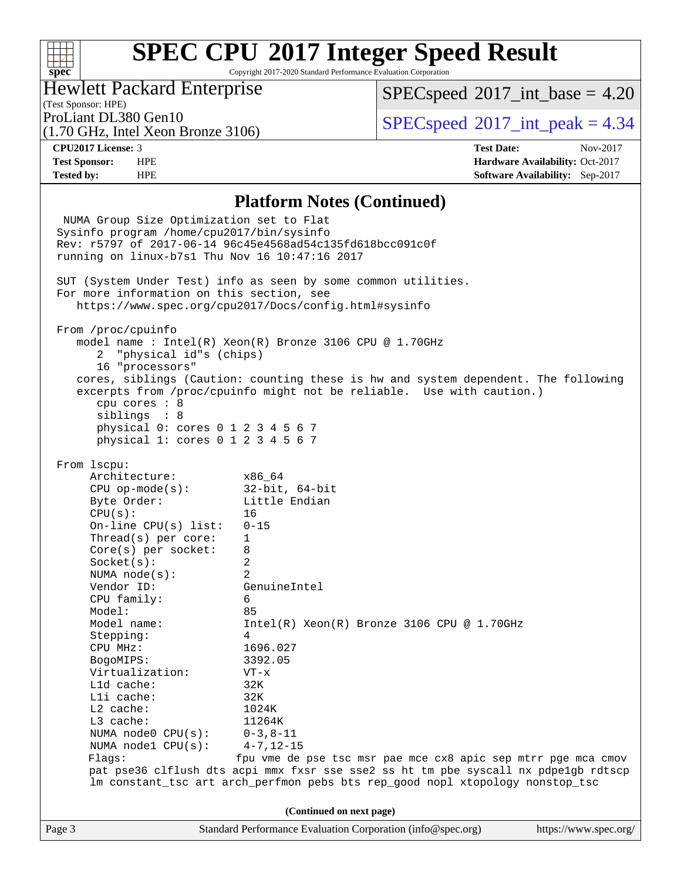Copyright 2017-2020 Standard Performance Evaluation Corporation

#### Hewlett Packard Enterprise

(1.70 GHz, Intel Xeon Bronze 3106)

 $SPECspeed^{\circ}2017\_int\_base = 4.20$  $SPECspeed^{\circ}2017\_int\_base = 4.20$ 

(Test Sponsor: HPE)

ProLiant DL380 Gen10  $SPECspeed@2017$  $SPECspeed@2017$ \_int\_peak = 4.34

**[spec](http://www.spec.org/)**

 $+\hskip -1.5pt +\hskip -1.5pt +$ 

**[CPU2017 License:](http://www.spec.org/auto/cpu2017/Docs/result-fields.html#CPU2017License)** 3 **[Test Date:](http://www.spec.org/auto/cpu2017/Docs/result-fields.html#TestDate)** Nov-2017 **[Test Sponsor:](http://www.spec.org/auto/cpu2017/Docs/result-fields.html#TestSponsor)** HPE **[Hardware Availability:](http://www.spec.org/auto/cpu2017/Docs/result-fields.html#HardwareAvailability)** Oct-2017 **[Tested by:](http://www.spec.org/auto/cpu2017/Docs/result-fields.html#Testedby)** HPE **[Software Availability:](http://www.spec.org/auto/cpu2017/Docs/result-fields.html#SoftwareAvailability)** Sep-2017

#### **[Platform Notes \(Continued\)](http://www.spec.org/auto/cpu2017/Docs/result-fields.html#PlatformNotes)**

Page 3 Standard Performance Evaluation Corporation [\(info@spec.org\)](mailto:info@spec.org) <https://www.spec.org/> NUMA Group Size Optimization set to Flat Sysinfo program /home/cpu2017/bin/sysinfo Rev: r5797 of 2017-06-14 96c45e4568ad54c135fd618bcc091c0f running on linux-b7s1 Thu Nov 16 10:47:16 2017 SUT (System Under Test) info as seen by some common utilities. For more information on this section, see <https://www.spec.org/cpu2017/Docs/config.html#sysinfo> From /proc/cpuinfo model name : Intel(R) Xeon(R) Bronze 3106 CPU @ 1.70GHz 2 "physical id"s (chips) 16 "processors" cores, siblings (Caution: counting these is hw and system dependent. The following excerpts from /proc/cpuinfo might not be reliable. Use with caution.) cpu cores : 8 siblings : 8 physical 0: cores 0 1 2 3 4 5 6 7 physical 1: cores 0 1 2 3 4 5 6 7 From lscpu: Architecture: x86\_64 CPU op-mode(s): 32-bit, 64-bit Byte Order: Little Endian CPU(s): 16 On-line CPU(s) list: 0-15 Thread(s) per core: 1 Core(s) per socket: 8 Socket(s): 2 NUMA node(s): 2 Vendor ID: GenuineIntel CPU family: 6 Model: 85 Model name: Intel(R) Xeon(R) Bronze 3106 CPU @ 1.70GHz Stepping: 4 CPU MHz: 1696.027 BogoMIPS: 3392.05 Virtualization: VT-x L1d cache: 32K L1i cache: 32K L2 cache: 1024K L3 cache: 11264K<br>NUMA node0 CPU(s): 0-3,8-11 NUMA node0 CPU(s): NUMA node1 CPU(s): 4-7,12-15 Flags: fpu vme de pse tsc msr pae mce cx8 apic sep mtrr pge mca cmov pat pse36 clflush dts acpi mmx fxsr sse sse2 ss ht tm pbe syscall nx pdpe1gb rdtscp lm constant\_tsc art arch\_perfmon pebs bts rep\_good nopl xtopology nonstop\_tsc **(Continued on next page)**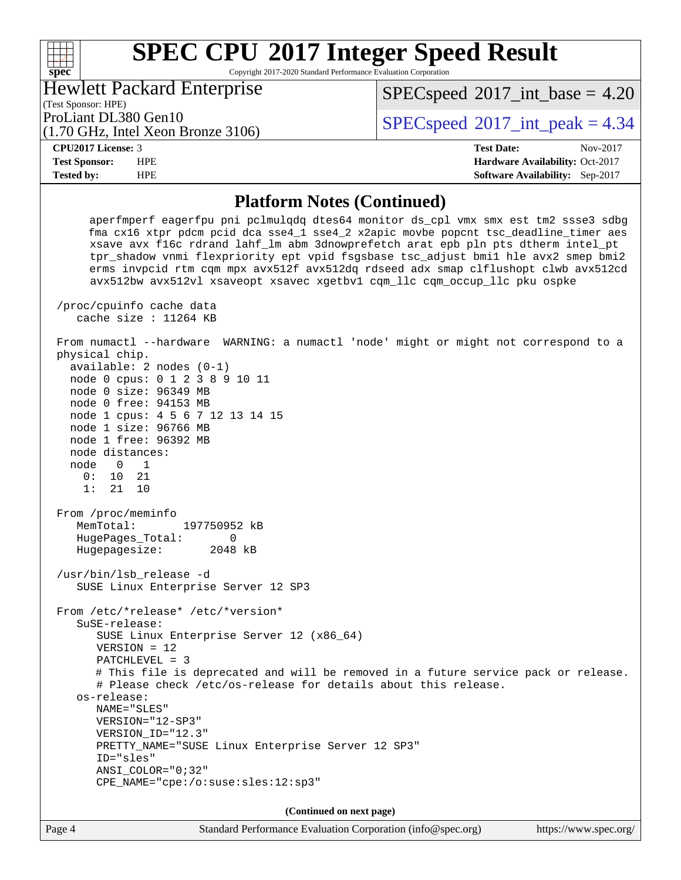Copyright 2017-2020 Standard Performance Evaluation Corporation

Hewlett Packard Enterprise

(1.70 GHz, Intel Xeon Bronze 3106)

 $SPECspeed^{\circ}2017\_int\_base = 4.20$  $SPECspeed^{\circ}2017\_int\_base = 4.20$ 

(Test Sponsor: HPE)

ProLiant DL380 Gen10  $SPECspeed@2017$  $SPECspeed@2017$ \_int\_peak = 4.34

#### **[CPU2017 License:](http://www.spec.org/auto/cpu2017/Docs/result-fields.html#CPU2017License)** 3 **[Test Date:](http://www.spec.org/auto/cpu2017/Docs/result-fields.html#TestDate)** Nov-2017

**[spec](http://www.spec.org/)**

 $+\!\!+\!\!$ 

**[Test Sponsor:](http://www.spec.org/auto/cpu2017/Docs/result-fields.html#TestSponsor)** HPE **[Hardware Availability:](http://www.spec.org/auto/cpu2017/Docs/result-fields.html#HardwareAvailability)** Oct-2017 **[Tested by:](http://www.spec.org/auto/cpu2017/Docs/result-fields.html#Testedby)** HPE **[Software Availability:](http://www.spec.org/auto/cpu2017/Docs/result-fields.html#SoftwareAvailability)** Sep-2017

# **[Platform Notes \(Continued\)](http://www.spec.org/auto/cpu2017/Docs/result-fields.html#PlatformNotes)**

 aperfmperf eagerfpu pni pclmulqdq dtes64 monitor ds\_cpl vmx smx est tm2 ssse3 sdbg fma cx16 xtpr pdcm pcid dca sse4\_1 sse4\_2 x2apic movbe popcnt tsc\_deadline\_timer aes xsave avx f16c rdrand lahf\_lm abm 3dnowprefetch arat epb pln pts dtherm intel\_pt tpr\_shadow vnmi flexpriority ept vpid fsgsbase tsc\_adjust bmi1 hle avx2 smep bmi2 erms invpcid rtm cqm mpx avx512f avx512dq rdseed adx smap clflushopt clwb avx512cd avx512bw avx512vl xsaveopt xsavec xgetbv1 cqm\_llc cqm\_occup\_llc pku ospke

 /proc/cpuinfo cache data cache size : 11264 KB

 From numactl --hardware WARNING: a numactl 'node' might or might not correspond to a physical chip. available: 2 nodes (0-1)

 node 0 cpus: 0 1 2 3 8 9 10 11 node 0 size: 96349 MB node 0 free: 94153 MB node 1 cpus: 4 5 6 7 12 13 14 15 node 1 size: 96766 MB node 1 free: 96392 MB

 node distances: node 0 1

 0: 10 21 1: 21 10

 From /proc/meminfo MemTotal: 197750952 kB HugePages\_Total: 0 Hugepagesize: 2048 kB

 /usr/bin/lsb\_release -d SUSE Linux Enterprise Server 12 SP3

 From /etc/\*release\* /etc/\*version\* SuSE-release:

SUSE Linux Enterprise Server 12 (x86\_64)

 VERSION = 12 PATCHLEVEL = 3

 # This file is deprecated and will be removed in a future service pack or release. # Please check /etc/os-release for details about this release.

 os-release: NAME="SLES"

 VERSION="12-SP3" VERSION\_ID="12.3" PRETTY\_NAME="SUSE Linux Enterprise Server 12 SP3"

 ID="sles" ANSI\_COLOR="0;32"

CPE\_NAME="cpe:/o:suse:sles:12:sp3"

**(Continued on next page)**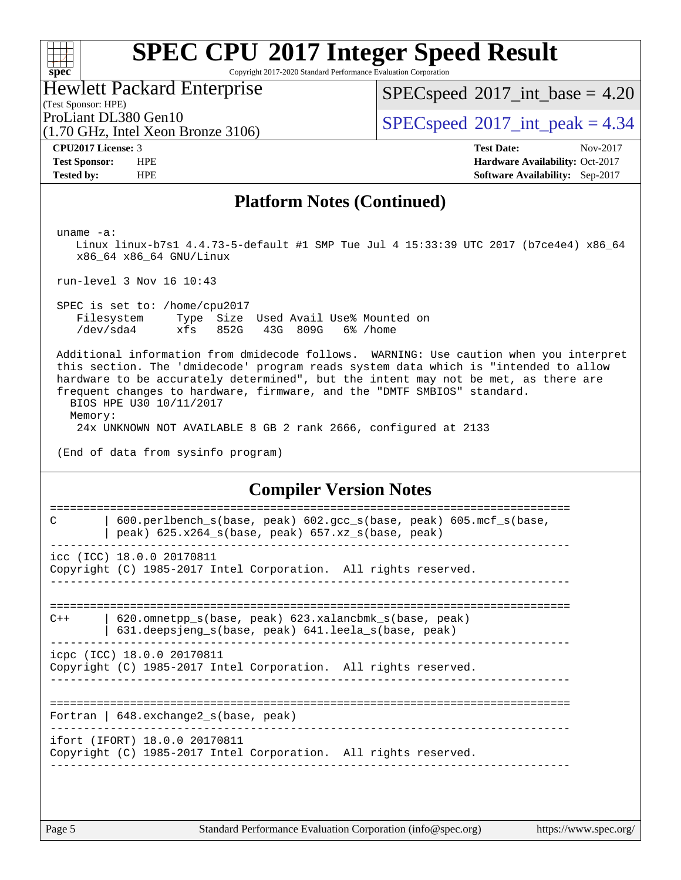Copyright 2017-2020 Standard Performance Evaluation Corporation

Hewlett Packard Enterprise

(1.70 GHz, Intel Xeon Bronze 3106)

 $SPECspeed^{\circledcirc}2017\_int\_base = 4.20$  $SPECspeed^{\circledcirc}2017\_int\_base = 4.20$ 

(Test Sponsor: HPE)

ProLiant DL380 Gen10  $SPECspeed@2017$  $SPECspeed@2017$ \_int\_peak = 4.34

**[spec](http://www.spec.org/)**

 $+\hskip -1.5pt +\hskip -1.5pt +$ 

**[CPU2017 License:](http://www.spec.org/auto/cpu2017/Docs/result-fields.html#CPU2017License)** 3 **[Test Date:](http://www.spec.org/auto/cpu2017/Docs/result-fields.html#TestDate)** Nov-2017 **[Test Sponsor:](http://www.spec.org/auto/cpu2017/Docs/result-fields.html#TestSponsor)** HPE **[Hardware Availability:](http://www.spec.org/auto/cpu2017/Docs/result-fields.html#HardwareAvailability)** Oct-2017 **[Tested by:](http://www.spec.org/auto/cpu2017/Docs/result-fields.html#Testedby)** HPE **[Software Availability:](http://www.spec.org/auto/cpu2017/Docs/result-fields.html#SoftwareAvailability)** Sep-2017

#### **[Platform Notes \(Continued\)](http://www.spec.org/auto/cpu2017/Docs/result-fields.html#PlatformNotes)**

uname -a:

 Linux linux-b7s1 4.4.73-5-default #1 SMP Tue Jul 4 15:33:39 UTC 2017 (b7ce4e4) x86\_64 x86\_64 x86\_64 GNU/Linux

run-level 3 Nov 16 10:43

 SPEC is set to: /home/cpu2017 Filesystem Type Size Used Avail Use% Mounted on /dev/sda4 xfs 852G 43G 809G 6% /home

 Additional information from dmidecode follows. WARNING: Use caution when you interpret this section. The 'dmidecode' program reads system data which is "intended to allow hardware to be accurately determined", but the intent may not be met, as there are frequent changes to hardware, firmware, and the "DMTF SMBIOS" standard.

 BIOS HPE U30 10/11/2017 Memory:

24x UNKNOWN NOT AVAILABLE 8 GB 2 rank 2666, configured at 2133

(End of data from sysinfo program)

#### **[Compiler Version Notes](http://www.spec.org/auto/cpu2017/Docs/result-fields.html#CompilerVersionNotes)**

```
==============================================================================
C | 600.perlbench_s(base, peak) 602.gcc_s(base, peak) 605.mcf_s(base,
         | peak) 625.x264_s(base, peak) 657.xz_s(base, peak)
          ------------------------------------------------------------------------------
icc (ICC) 18.0.0 20170811
Copyright (C) 1985-2017 Intel Corporation. All rights reserved.
------------------------------------------------------------------------------
==============================================================================
C++ | 620.omnetpp_s(base, peak) 623.xalancbmk_s(base, peak)
         | 631.deepsjeng_s(base, peak) 641.leela_s(base, peak)
   ------------------------------------------------------------------------------
icpc (ICC) 18.0.0 20170811
Copyright (C) 1985-2017 Intel Corporation. All rights reserved.
                 ------------------------------------------------------------------------------
==============================================================================
Fortran | 648.exchange2_s(base, peak)
                                     ------------------------------------------------------------------------------
ifort (IFORT) 18.0.0 20170811
Copyright (C) 1985-2017 Intel Corporation. All rights reserved.
------------------------------------------------------------------------------
```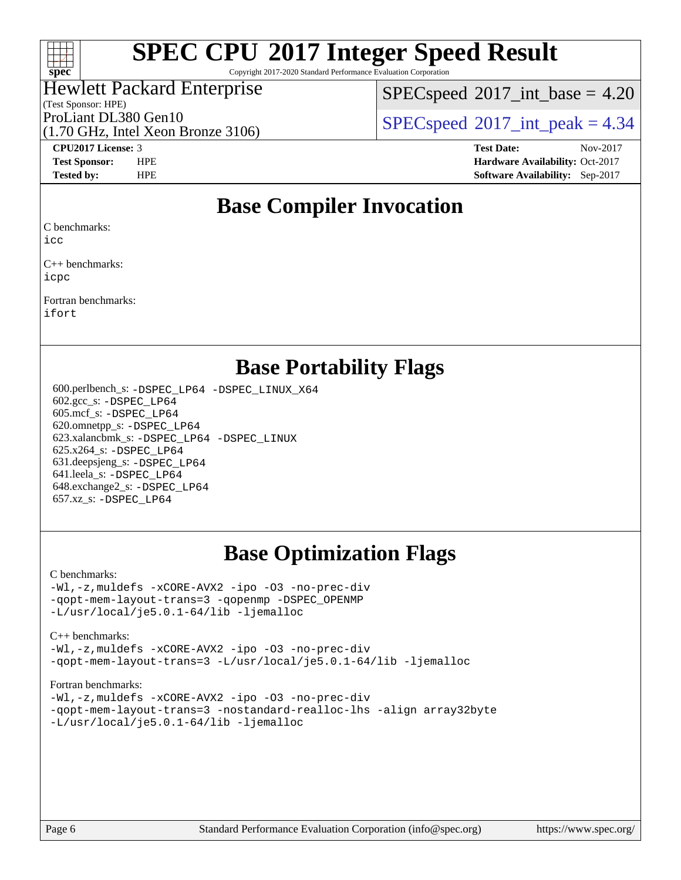

Copyright 2017-2020 Standard Performance Evaluation Corporation

#### Hewlett Packard Enterprise

(Test Sponsor: HPE)

 $SPECspeed^{\circ}2017\_int\_base = 4.20$  $SPECspeed^{\circ}2017\_int\_base = 4.20$ 

ProLiant DL380 Gen10  $SPECspeed@2017$  $SPECspeed@2017$  int\_peak = 4.34

(1.70 GHz, Intel Xeon Bronze 3106)

**[CPU2017 License:](http://www.spec.org/auto/cpu2017/Docs/result-fields.html#CPU2017License)** 3 **[Test Date:](http://www.spec.org/auto/cpu2017/Docs/result-fields.html#TestDate)** Nov-2017 **[Test Sponsor:](http://www.spec.org/auto/cpu2017/Docs/result-fields.html#TestSponsor)** HPE **[Hardware Availability:](http://www.spec.org/auto/cpu2017/Docs/result-fields.html#HardwareAvailability)** Oct-2017 **[Tested by:](http://www.spec.org/auto/cpu2017/Docs/result-fields.html#Testedby)** HPE **[Software Availability:](http://www.spec.org/auto/cpu2017/Docs/result-fields.html#SoftwareAvailability)** Sep-2017

## **[Base Compiler Invocation](http://www.spec.org/auto/cpu2017/Docs/result-fields.html#BaseCompilerInvocation)**

[C benchmarks:](http://www.spec.org/auto/cpu2017/Docs/result-fields.html#Cbenchmarks)

[icc](http://www.spec.org/cpu2017/results/res2017q4/cpu2017-20171128-01123.flags.html#user_CCbase_intel_icc_18.0_66fc1ee009f7361af1fbd72ca7dcefbb700085f36577c54f309893dd4ec40d12360134090235512931783d35fd58c0460139e722d5067c5574d8eaf2b3e37e92)

[C++ benchmarks:](http://www.spec.org/auto/cpu2017/Docs/result-fields.html#CXXbenchmarks) [icpc](http://www.spec.org/cpu2017/results/res2017q4/cpu2017-20171128-01123.flags.html#user_CXXbase_intel_icpc_18.0_c510b6838c7f56d33e37e94d029a35b4a7bccf4766a728ee175e80a419847e808290a9b78be685c44ab727ea267ec2f070ec5dc83b407c0218cded6866a35d07)

[Fortran benchmarks](http://www.spec.org/auto/cpu2017/Docs/result-fields.html#Fortranbenchmarks): [ifort](http://www.spec.org/cpu2017/results/res2017q4/cpu2017-20171128-01123.flags.html#user_FCbase_intel_ifort_18.0_8111460550e3ca792625aed983ce982f94888b8b503583aa7ba2b8303487b4d8a21a13e7191a45c5fd58ff318f48f9492884d4413fa793fd88dd292cad7027ca)

### **[Base Portability Flags](http://www.spec.org/auto/cpu2017/Docs/result-fields.html#BasePortabilityFlags)**

 600.perlbench\_s: [-DSPEC\\_LP64](http://www.spec.org/cpu2017/results/res2017q4/cpu2017-20171128-01123.flags.html#b600.perlbench_s_basePORTABILITY_DSPEC_LP64) [-DSPEC\\_LINUX\\_X64](http://www.spec.org/cpu2017/results/res2017q4/cpu2017-20171128-01123.flags.html#b600.perlbench_s_baseCPORTABILITY_DSPEC_LINUX_X64) 602.gcc\_s: [-DSPEC\\_LP64](http://www.spec.org/cpu2017/results/res2017q4/cpu2017-20171128-01123.flags.html#suite_basePORTABILITY602_gcc_s_DSPEC_LP64) 605.mcf\_s: [-DSPEC\\_LP64](http://www.spec.org/cpu2017/results/res2017q4/cpu2017-20171128-01123.flags.html#suite_basePORTABILITY605_mcf_s_DSPEC_LP64) 620.omnetpp\_s: [-DSPEC\\_LP64](http://www.spec.org/cpu2017/results/res2017q4/cpu2017-20171128-01123.flags.html#suite_basePORTABILITY620_omnetpp_s_DSPEC_LP64) 623.xalancbmk\_s: [-DSPEC\\_LP64](http://www.spec.org/cpu2017/results/res2017q4/cpu2017-20171128-01123.flags.html#suite_basePORTABILITY623_xalancbmk_s_DSPEC_LP64) [-DSPEC\\_LINUX](http://www.spec.org/cpu2017/results/res2017q4/cpu2017-20171128-01123.flags.html#b623.xalancbmk_s_baseCXXPORTABILITY_DSPEC_LINUX) 625.x264\_s: [-DSPEC\\_LP64](http://www.spec.org/cpu2017/results/res2017q4/cpu2017-20171128-01123.flags.html#suite_basePORTABILITY625_x264_s_DSPEC_LP64) 631.deepsjeng\_s: [-DSPEC\\_LP64](http://www.spec.org/cpu2017/results/res2017q4/cpu2017-20171128-01123.flags.html#suite_basePORTABILITY631_deepsjeng_s_DSPEC_LP64) 641.leela\_s: [-DSPEC\\_LP64](http://www.spec.org/cpu2017/results/res2017q4/cpu2017-20171128-01123.flags.html#suite_basePORTABILITY641_leela_s_DSPEC_LP64) 648.exchange2\_s: [-DSPEC\\_LP64](http://www.spec.org/cpu2017/results/res2017q4/cpu2017-20171128-01123.flags.html#suite_basePORTABILITY648_exchange2_s_DSPEC_LP64) 657.xz\_s: [-DSPEC\\_LP64](http://www.spec.org/cpu2017/results/res2017q4/cpu2017-20171128-01123.flags.html#suite_basePORTABILITY657_xz_s_DSPEC_LP64)

## **[Base Optimization Flags](http://www.spec.org/auto/cpu2017/Docs/result-fields.html#BaseOptimizationFlags)**

#### [C benchmarks](http://www.spec.org/auto/cpu2017/Docs/result-fields.html#Cbenchmarks):

[-Wl,-z,muldefs](http://www.spec.org/cpu2017/results/res2017q4/cpu2017-20171128-01123.flags.html#user_CCbase_link_force_multiple1_b4cbdb97b34bdee9ceefcfe54f4c8ea74255f0b02a4b23e853cdb0e18eb4525ac79b5a88067c842dd0ee6996c24547a27a4b99331201badda8798ef8a743f577) [-xCORE-AVX2](http://www.spec.org/cpu2017/results/res2017q4/cpu2017-20171128-01123.flags.html#user_CCbase_f-xCORE-AVX2) [-ipo](http://www.spec.org/cpu2017/results/res2017q4/cpu2017-20171128-01123.flags.html#user_CCbase_f-ipo) [-O3](http://www.spec.org/cpu2017/results/res2017q4/cpu2017-20171128-01123.flags.html#user_CCbase_f-O3) [-no-prec-div](http://www.spec.org/cpu2017/results/res2017q4/cpu2017-20171128-01123.flags.html#user_CCbase_f-no-prec-div) [-qopt-mem-layout-trans=3](http://www.spec.org/cpu2017/results/res2017q4/cpu2017-20171128-01123.flags.html#user_CCbase_f-qopt-mem-layout-trans_de80db37974c74b1f0e20d883f0b675c88c3b01e9d123adea9b28688d64333345fb62bc4a798493513fdb68f60282f9a726aa07f478b2f7113531aecce732043) [-qopenmp](http://www.spec.org/cpu2017/results/res2017q4/cpu2017-20171128-01123.flags.html#user_CCbase_qopenmp_16be0c44f24f464004c6784a7acb94aca937f053568ce72f94b139a11c7c168634a55f6653758ddd83bcf7b8463e8028bb0b48b77bcddc6b78d5d95bb1df2967) [-DSPEC\\_OPENMP](http://www.spec.org/cpu2017/results/res2017q4/cpu2017-20171128-01123.flags.html#suite_CCbase_DSPEC_OPENMP) [-L/usr/local/je5.0.1-64/lib](http://www.spec.org/cpu2017/results/res2017q4/cpu2017-20171128-01123.flags.html#user_CCbase_jemalloc_link_path64_4b10a636b7bce113509b17f3bd0d6226c5fb2346b9178c2d0232c14f04ab830f976640479e5c33dc2bcbbdad86ecfb6634cbbd4418746f06f368b512fced5394) [-ljemalloc](http://www.spec.org/cpu2017/results/res2017q4/cpu2017-20171128-01123.flags.html#user_CCbase_jemalloc_link_lib_d1249b907c500fa1c0672f44f562e3d0f79738ae9e3c4a9c376d49f265a04b9c99b167ecedbf6711b3085be911c67ff61f150a17b3472be731631ba4d0471706)

#### [C++ benchmarks:](http://www.spec.org/auto/cpu2017/Docs/result-fields.html#CXXbenchmarks)

[-Wl,-z,muldefs](http://www.spec.org/cpu2017/results/res2017q4/cpu2017-20171128-01123.flags.html#user_CXXbase_link_force_multiple1_b4cbdb97b34bdee9ceefcfe54f4c8ea74255f0b02a4b23e853cdb0e18eb4525ac79b5a88067c842dd0ee6996c24547a27a4b99331201badda8798ef8a743f577) [-xCORE-AVX2](http://www.spec.org/cpu2017/results/res2017q4/cpu2017-20171128-01123.flags.html#user_CXXbase_f-xCORE-AVX2) [-ipo](http://www.spec.org/cpu2017/results/res2017q4/cpu2017-20171128-01123.flags.html#user_CXXbase_f-ipo) [-O3](http://www.spec.org/cpu2017/results/res2017q4/cpu2017-20171128-01123.flags.html#user_CXXbase_f-O3) [-no-prec-div](http://www.spec.org/cpu2017/results/res2017q4/cpu2017-20171128-01123.flags.html#user_CXXbase_f-no-prec-div) [-qopt-mem-layout-trans=3](http://www.spec.org/cpu2017/results/res2017q4/cpu2017-20171128-01123.flags.html#user_CXXbase_f-qopt-mem-layout-trans_de80db37974c74b1f0e20d883f0b675c88c3b01e9d123adea9b28688d64333345fb62bc4a798493513fdb68f60282f9a726aa07f478b2f7113531aecce732043) [-L/usr/local/je5.0.1-64/lib](http://www.spec.org/cpu2017/results/res2017q4/cpu2017-20171128-01123.flags.html#user_CXXbase_jemalloc_link_path64_4b10a636b7bce113509b17f3bd0d6226c5fb2346b9178c2d0232c14f04ab830f976640479e5c33dc2bcbbdad86ecfb6634cbbd4418746f06f368b512fced5394) [-ljemalloc](http://www.spec.org/cpu2017/results/res2017q4/cpu2017-20171128-01123.flags.html#user_CXXbase_jemalloc_link_lib_d1249b907c500fa1c0672f44f562e3d0f79738ae9e3c4a9c376d49f265a04b9c99b167ecedbf6711b3085be911c67ff61f150a17b3472be731631ba4d0471706)

#### [Fortran benchmarks](http://www.spec.org/auto/cpu2017/Docs/result-fields.html#Fortranbenchmarks):

[-Wl,-z,muldefs](http://www.spec.org/cpu2017/results/res2017q4/cpu2017-20171128-01123.flags.html#user_FCbase_link_force_multiple1_b4cbdb97b34bdee9ceefcfe54f4c8ea74255f0b02a4b23e853cdb0e18eb4525ac79b5a88067c842dd0ee6996c24547a27a4b99331201badda8798ef8a743f577) [-xCORE-AVX2](http://www.spec.org/cpu2017/results/res2017q4/cpu2017-20171128-01123.flags.html#user_FCbase_f-xCORE-AVX2) [-ipo](http://www.spec.org/cpu2017/results/res2017q4/cpu2017-20171128-01123.flags.html#user_FCbase_f-ipo) [-O3](http://www.spec.org/cpu2017/results/res2017q4/cpu2017-20171128-01123.flags.html#user_FCbase_f-O3) [-no-prec-div](http://www.spec.org/cpu2017/results/res2017q4/cpu2017-20171128-01123.flags.html#user_FCbase_f-no-prec-div) [-qopt-mem-layout-trans=3](http://www.spec.org/cpu2017/results/res2017q4/cpu2017-20171128-01123.flags.html#user_FCbase_f-qopt-mem-layout-trans_de80db37974c74b1f0e20d883f0b675c88c3b01e9d123adea9b28688d64333345fb62bc4a798493513fdb68f60282f9a726aa07f478b2f7113531aecce732043) [-nostandard-realloc-lhs](http://www.spec.org/cpu2017/results/res2017q4/cpu2017-20171128-01123.flags.html#user_FCbase_f_2003_std_realloc_82b4557e90729c0f113870c07e44d33d6f5a304b4f63d4c15d2d0f1fab99f5daaed73bdb9275d9ae411527f28b936061aa8b9c8f2d63842963b95c9dd6426b8a) [-align array32byte](http://www.spec.org/cpu2017/results/res2017q4/cpu2017-20171128-01123.flags.html#user_FCbase_align_array32byte_b982fe038af199962ba9a80c053b8342c548c85b40b8e86eb3cc33dee0d7986a4af373ac2d51c3f7cf710a18d62fdce2948f201cd044323541f22fc0fffc51b6) [-L/usr/local/je5.0.1-64/lib](http://www.spec.org/cpu2017/results/res2017q4/cpu2017-20171128-01123.flags.html#user_FCbase_jemalloc_link_path64_4b10a636b7bce113509b17f3bd0d6226c5fb2346b9178c2d0232c14f04ab830f976640479e5c33dc2bcbbdad86ecfb6634cbbd4418746f06f368b512fced5394) [-ljemalloc](http://www.spec.org/cpu2017/results/res2017q4/cpu2017-20171128-01123.flags.html#user_FCbase_jemalloc_link_lib_d1249b907c500fa1c0672f44f562e3d0f79738ae9e3c4a9c376d49f265a04b9c99b167ecedbf6711b3085be911c67ff61f150a17b3472be731631ba4d0471706)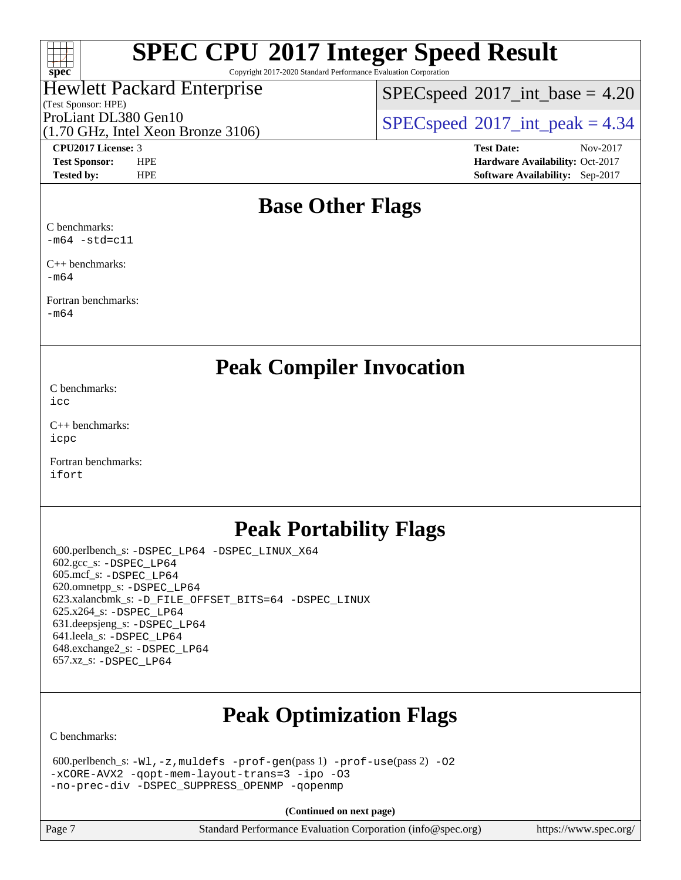#### $+\ +$ **[spec](http://www.spec.org/)**

# **[SPEC CPU](http://www.spec.org/auto/cpu2017/Docs/result-fields.html#SPECCPU2017IntegerSpeedResult)[2017 Integer Speed Result](http://www.spec.org/auto/cpu2017/Docs/result-fields.html#SPECCPU2017IntegerSpeedResult)**

Copyright 2017-2020 Standard Performance Evaluation Corporation

#### Hewlett Packard Enterprise

(Test Sponsor: HPE)

 $SPECspeed^{\circledcirc}2017\_int\_base = 4.20$  $SPECspeed^{\circledcirc}2017\_int\_base = 4.20$ 

ProLiant DL380 Gen10  $SPECspeed@2017$  $SPECspeed@2017$ \_int\_peak = 4.34

(1.70 GHz, Intel Xeon Bronze 3106)

**[CPU2017 License:](http://www.spec.org/auto/cpu2017/Docs/result-fields.html#CPU2017License)** 3 **[Test Date:](http://www.spec.org/auto/cpu2017/Docs/result-fields.html#TestDate)** Nov-2017 **[Test Sponsor:](http://www.spec.org/auto/cpu2017/Docs/result-fields.html#TestSponsor)** HPE **[Hardware Availability:](http://www.spec.org/auto/cpu2017/Docs/result-fields.html#HardwareAvailability)** Oct-2017 **[Tested by:](http://www.spec.org/auto/cpu2017/Docs/result-fields.html#Testedby)** HPE **[Software Availability:](http://www.spec.org/auto/cpu2017/Docs/result-fields.html#SoftwareAvailability)** Sep-2017

## **[Base Other Flags](http://www.spec.org/auto/cpu2017/Docs/result-fields.html#BaseOtherFlags)**

[C benchmarks](http://www.spec.org/auto/cpu2017/Docs/result-fields.html#Cbenchmarks):  $-m64$   $-std=cl1$ 

[C++ benchmarks:](http://www.spec.org/auto/cpu2017/Docs/result-fields.html#CXXbenchmarks) [-m64](http://www.spec.org/cpu2017/results/res2017q4/cpu2017-20171128-01123.flags.html#user_CXXbase_intel_intel64_18.0_af43caccfc8ded86e7699f2159af6efc7655f51387b94da716254467f3c01020a5059329e2569e4053f409e7c9202a7efc638f7a6d1ffb3f52dea4a3e31d82ab)

[Fortran benchmarks](http://www.spec.org/auto/cpu2017/Docs/result-fields.html#Fortranbenchmarks):

[-m64](http://www.spec.org/cpu2017/results/res2017q4/cpu2017-20171128-01123.flags.html#user_FCbase_intel_intel64_18.0_af43caccfc8ded86e7699f2159af6efc7655f51387b94da716254467f3c01020a5059329e2569e4053f409e7c9202a7efc638f7a6d1ffb3f52dea4a3e31d82ab)

## **[Peak Compiler Invocation](http://www.spec.org/auto/cpu2017/Docs/result-fields.html#PeakCompilerInvocation)**

[C benchmarks](http://www.spec.org/auto/cpu2017/Docs/result-fields.html#Cbenchmarks): [icc](http://www.spec.org/cpu2017/results/res2017q4/cpu2017-20171128-01123.flags.html#user_CCpeak_intel_icc_18.0_66fc1ee009f7361af1fbd72ca7dcefbb700085f36577c54f309893dd4ec40d12360134090235512931783d35fd58c0460139e722d5067c5574d8eaf2b3e37e92)

[C++ benchmarks:](http://www.spec.org/auto/cpu2017/Docs/result-fields.html#CXXbenchmarks) [icpc](http://www.spec.org/cpu2017/results/res2017q4/cpu2017-20171128-01123.flags.html#user_CXXpeak_intel_icpc_18.0_c510b6838c7f56d33e37e94d029a35b4a7bccf4766a728ee175e80a419847e808290a9b78be685c44ab727ea267ec2f070ec5dc83b407c0218cded6866a35d07)

[Fortran benchmarks](http://www.spec.org/auto/cpu2017/Docs/result-fields.html#Fortranbenchmarks): [ifort](http://www.spec.org/cpu2017/results/res2017q4/cpu2017-20171128-01123.flags.html#user_FCpeak_intel_ifort_18.0_8111460550e3ca792625aed983ce982f94888b8b503583aa7ba2b8303487b4d8a21a13e7191a45c5fd58ff318f48f9492884d4413fa793fd88dd292cad7027ca)

## **[Peak Portability Flags](http://www.spec.org/auto/cpu2017/Docs/result-fields.html#PeakPortabilityFlags)**

 600.perlbench\_s: [-DSPEC\\_LP64](http://www.spec.org/cpu2017/results/res2017q4/cpu2017-20171128-01123.flags.html#b600.perlbench_s_peakPORTABILITY_DSPEC_LP64) [-DSPEC\\_LINUX\\_X64](http://www.spec.org/cpu2017/results/res2017q4/cpu2017-20171128-01123.flags.html#b600.perlbench_s_peakCPORTABILITY_DSPEC_LINUX_X64) 602.gcc\_s: [-DSPEC\\_LP64](http://www.spec.org/cpu2017/results/res2017q4/cpu2017-20171128-01123.flags.html#suite_peakPORTABILITY602_gcc_s_DSPEC_LP64) 605.mcf\_s: [-DSPEC\\_LP64](http://www.spec.org/cpu2017/results/res2017q4/cpu2017-20171128-01123.flags.html#suite_peakPORTABILITY605_mcf_s_DSPEC_LP64) 620.omnetpp\_s: [-DSPEC\\_LP64](http://www.spec.org/cpu2017/results/res2017q4/cpu2017-20171128-01123.flags.html#suite_peakPORTABILITY620_omnetpp_s_DSPEC_LP64) 623.xalancbmk\_s: [-D\\_FILE\\_OFFSET\\_BITS=64](http://www.spec.org/cpu2017/results/res2017q4/cpu2017-20171128-01123.flags.html#user_peakPORTABILITY623_xalancbmk_s_file_offset_bits_64_5ae949a99b284ddf4e95728d47cb0843d81b2eb0e18bdfe74bbf0f61d0b064f4bda2f10ea5eb90e1dcab0e84dbc592acfc5018bc955c18609f94ddb8d550002c) [-DSPEC\\_LINUX](http://www.spec.org/cpu2017/results/res2017q4/cpu2017-20171128-01123.flags.html#b623.xalancbmk_s_peakCXXPORTABILITY_DSPEC_LINUX) 625.x264\_s: [-DSPEC\\_LP64](http://www.spec.org/cpu2017/results/res2017q4/cpu2017-20171128-01123.flags.html#suite_peakPORTABILITY625_x264_s_DSPEC_LP64) 631.deepsjeng\_s: [-DSPEC\\_LP64](http://www.spec.org/cpu2017/results/res2017q4/cpu2017-20171128-01123.flags.html#suite_peakPORTABILITY631_deepsjeng_s_DSPEC_LP64) 641.leela\_s: [-DSPEC\\_LP64](http://www.spec.org/cpu2017/results/res2017q4/cpu2017-20171128-01123.flags.html#suite_peakPORTABILITY641_leela_s_DSPEC_LP64) 648.exchange2\_s: [-DSPEC\\_LP64](http://www.spec.org/cpu2017/results/res2017q4/cpu2017-20171128-01123.flags.html#suite_peakPORTABILITY648_exchange2_s_DSPEC_LP64) 657.xz\_s: [-DSPEC\\_LP64](http://www.spec.org/cpu2017/results/res2017q4/cpu2017-20171128-01123.flags.html#suite_peakPORTABILITY657_xz_s_DSPEC_LP64)

## **[Peak Optimization Flags](http://www.spec.org/auto/cpu2017/Docs/result-fields.html#PeakOptimizationFlags)**

[C benchmarks](http://www.spec.org/auto/cpu2017/Docs/result-fields.html#Cbenchmarks):

| 600.perlbench_s: $-W1$ , $-z$ , muldefs $-prof$ -gen(pass 1) $-prof$ -use(pass 2) -02 |
|---------------------------------------------------------------------------------------|
| $-xCORE-AVX2$ -gopt-mem-layout-trans=3 -ipo -03                                       |
| -no-prec-div -DSPEC SUPPRESS OPENMP -gopenmp                                          |

**(Continued on next page)**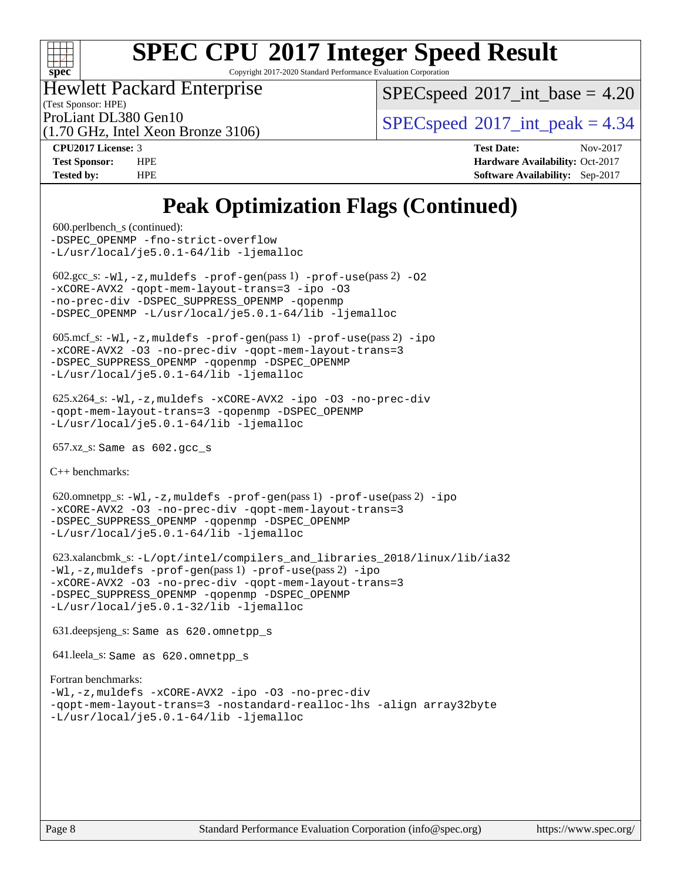

Copyright 2017-2020 Standard Performance Evaluation Corporation

#### Hewlett Packard Enterprise

(1.70 GHz, Intel Xeon Bronze 3106)

 $SPECspeed^{\circ}2017\_int\_base = 4.20$  $SPECspeed^{\circ}2017\_int\_base = 4.20$ 

(Test Sponsor: HPE)

ProLiant DL380 Gen10  $SPECspeed@2017$  $SPECspeed@2017$ \_int\_peak = 4.34

**[CPU2017 License:](http://www.spec.org/auto/cpu2017/Docs/result-fields.html#CPU2017License)** 3 **[Test Date:](http://www.spec.org/auto/cpu2017/Docs/result-fields.html#TestDate)** Nov-2017 **[Test Sponsor:](http://www.spec.org/auto/cpu2017/Docs/result-fields.html#TestSponsor)** HPE **[Hardware Availability:](http://www.spec.org/auto/cpu2017/Docs/result-fields.html#HardwareAvailability)** Oct-2017 **[Tested by:](http://www.spec.org/auto/cpu2017/Docs/result-fields.html#Testedby)** HPE **[Software Availability:](http://www.spec.org/auto/cpu2017/Docs/result-fields.html#SoftwareAvailability)** Sep-2017

## **[Peak Optimization Flags \(Continued\)](http://www.spec.org/auto/cpu2017/Docs/result-fields.html#PeakOptimizationFlags)**

 600.perlbench\_s (continued): -DSPEC OPENMP [-fno-strict-overflow](http://www.spec.org/cpu2017/results/res2017q4/cpu2017-20171128-01123.flags.html#user_peakEXTRA_OPTIMIZE600_perlbench_s_f-fno-strict-overflow) [-L/usr/local/je5.0.1-64/lib](http://www.spec.org/cpu2017/results/res2017q4/cpu2017-20171128-01123.flags.html#user_peakEXTRA_LIBS600_perlbench_s_jemalloc_link_path64_4b10a636b7bce113509b17f3bd0d6226c5fb2346b9178c2d0232c14f04ab830f976640479e5c33dc2bcbbdad86ecfb6634cbbd4418746f06f368b512fced5394) [-ljemalloc](http://www.spec.org/cpu2017/results/res2017q4/cpu2017-20171128-01123.flags.html#user_peakEXTRA_LIBS600_perlbench_s_jemalloc_link_lib_d1249b907c500fa1c0672f44f562e3d0f79738ae9e3c4a9c376d49f265a04b9c99b167ecedbf6711b3085be911c67ff61f150a17b3472be731631ba4d0471706) 602.gcc\_s: [-Wl,-z,muldefs](http://www.spec.org/cpu2017/results/res2017q4/cpu2017-20171128-01123.flags.html#user_peakEXTRA_LDFLAGS602_gcc_s_link_force_multiple1_b4cbdb97b34bdee9ceefcfe54f4c8ea74255f0b02a4b23e853cdb0e18eb4525ac79b5a88067c842dd0ee6996c24547a27a4b99331201badda8798ef8a743f577) [-prof-gen](http://www.spec.org/cpu2017/results/res2017q4/cpu2017-20171128-01123.flags.html#user_peakPASS1_CFLAGSPASS1_LDFLAGS602_gcc_s_prof_gen_5aa4926d6013ddb2a31985c654b3eb18169fc0c6952a63635c234f711e6e63dd76e94ad52365559451ec499a2cdb89e4dc58ba4c67ef54ca681ffbe1461d6b36)(pass 1) [-prof-use](http://www.spec.org/cpu2017/results/res2017q4/cpu2017-20171128-01123.flags.html#user_peakPASS2_CFLAGSPASS2_LDFLAGS602_gcc_s_prof_use_1a21ceae95f36a2b53c25747139a6c16ca95bd9def2a207b4f0849963b97e94f5260e30a0c64f4bb623698870e679ca08317ef8150905d41bd88c6f78df73f19)(pass 2) [-O2](http://www.spec.org/cpu2017/results/res2017q4/cpu2017-20171128-01123.flags.html#user_peakPASS1_COPTIMIZE602_gcc_s_f-O2) [-xCORE-AVX2](http://www.spec.org/cpu2017/results/res2017q4/cpu2017-20171128-01123.flags.html#user_peakPASS2_COPTIMIZE602_gcc_s_f-xCORE-AVX2) [-qopt-mem-layout-trans=3](http://www.spec.org/cpu2017/results/res2017q4/cpu2017-20171128-01123.flags.html#user_peakPASS1_COPTIMIZEPASS2_COPTIMIZE602_gcc_s_f-qopt-mem-layout-trans_de80db37974c74b1f0e20d883f0b675c88c3b01e9d123adea9b28688d64333345fb62bc4a798493513fdb68f60282f9a726aa07f478b2f7113531aecce732043) [-ipo](http://www.spec.org/cpu2017/results/res2017q4/cpu2017-20171128-01123.flags.html#user_peakPASS2_COPTIMIZE602_gcc_s_f-ipo) [-O3](http://www.spec.org/cpu2017/results/res2017q4/cpu2017-20171128-01123.flags.html#user_peakPASS2_COPTIMIZE602_gcc_s_f-O3) [-no-prec-div](http://www.spec.org/cpu2017/results/res2017q4/cpu2017-20171128-01123.flags.html#user_peakPASS2_COPTIMIZE602_gcc_s_f-no-prec-div) [-DSPEC\\_SUPPRESS\\_OPENMP](http://www.spec.org/cpu2017/results/res2017q4/cpu2017-20171128-01123.flags.html#suite_peakPASS1_COPTIMIZE602_gcc_s_DSPEC_SUPPRESS_OPENMP) [-qopenmp](http://www.spec.org/cpu2017/results/res2017q4/cpu2017-20171128-01123.flags.html#user_peakPASS2_COPTIMIZE602_gcc_s_qopenmp_16be0c44f24f464004c6784a7acb94aca937f053568ce72f94b139a11c7c168634a55f6653758ddd83bcf7b8463e8028bb0b48b77bcddc6b78d5d95bb1df2967) [-DSPEC\\_OPENMP](http://www.spec.org/cpu2017/results/res2017q4/cpu2017-20171128-01123.flags.html#suite_peakPASS2_COPTIMIZE602_gcc_s_DSPEC_OPENMP) [-L/usr/local/je5.0.1-64/lib](http://www.spec.org/cpu2017/results/res2017q4/cpu2017-20171128-01123.flags.html#user_peakEXTRA_LIBS602_gcc_s_jemalloc_link_path64_4b10a636b7bce113509b17f3bd0d6226c5fb2346b9178c2d0232c14f04ab830f976640479e5c33dc2bcbbdad86ecfb6634cbbd4418746f06f368b512fced5394) [-ljemalloc](http://www.spec.org/cpu2017/results/res2017q4/cpu2017-20171128-01123.flags.html#user_peakEXTRA_LIBS602_gcc_s_jemalloc_link_lib_d1249b907c500fa1c0672f44f562e3d0f79738ae9e3c4a9c376d49f265a04b9c99b167ecedbf6711b3085be911c67ff61f150a17b3472be731631ba4d0471706) 605.mcf\_s: [-Wl,-z,muldefs](http://www.spec.org/cpu2017/results/res2017q4/cpu2017-20171128-01123.flags.html#user_peakEXTRA_LDFLAGS605_mcf_s_link_force_multiple1_b4cbdb97b34bdee9ceefcfe54f4c8ea74255f0b02a4b23e853cdb0e18eb4525ac79b5a88067c842dd0ee6996c24547a27a4b99331201badda8798ef8a743f577) [-prof-gen](http://www.spec.org/cpu2017/results/res2017q4/cpu2017-20171128-01123.flags.html#user_peakPASS1_CFLAGSPASS1_LDFLAGS605_mcf_s_prof_gen_5aa4926d6013ddb2a31985c654b3eb18169fc0c6952a63635c234f711e6e63dd76e94ad52365559451ec499a2cdb89e4dc58ba4c67ef54ca681ffbe1461d6b36)(pass 1) [-prof-use](http://www.spec.org/cpu2017/results/res2017q4/cpu2017-20171128-01123.flags.html#user_peakPASS2_CFLAGSPASS2_LDFLAGS605_mcf_s_prof_use_1a21ceae95f36a2b53c25747139a6c16ca95bd9def2a207b4f0849963b97e94f5260e30a0c64f4bb623698870e679ca08317ef8150905d41bd88c6f78df73f19)(pass 2) [-ipo](http://www.spec.org/cpu2017/results/res2017q4/cpu2017-20171128-01123.flags.html#user_peakPASS1_COPTIMIZEPASS2_COPTIMIZE605_mcf_s_f-ipo) [-xCORE-AVX2](http://www.spec.org/cpu2017/results/res2017q4/cpu2017-20171128-01123.flags.html#user_peakPASS2_COPTIMIZE605_mcf_s_f-xCORE-AVX2) [-O3](http://www.spec.org/cpu2017/results/res2017q4/cpu2017-20171128-01123.flags.html#user_peakPASS1_COPTIMIZEPASS2_COPTIMIZE605_mcf_s_f-O3) [-no-prec-div](http://www.spec.org/cpu2017/results/res2017q4/cpu2017-20171128-01123.flags.html#user_peakPASS1_COPTIMIZEPASS2_COPTIMIZE605_mcf_s_f-no-prec-div) [-qopt-mem-layout-trans=3](http://www.spec.org/cpu2017/results/res2017q4/cpu2017-20171128-01123.flags.html#user_peakPASS1_COPTIMIZEPASS2_COPTIMIZE605_mcf_s_f-qopt-mem-layout-trans_de80db37974c74b1f0e20d883f0b675c88c3b01e9d123adea9b28688d64333345fb62bc4a798493513fdb68f60282f9a726aa07f478b2f7113531aecce732043) [-DSPEC\\_SUPPRESS\\_OPENMP](http://www.spec.org/cpu2017/results/res2017q4/cpu2017-20171128-01123.flags.html#suite_peakPASS1_COPTIMIZE605_mcf_s_DSPEC_SUPPRESS_OPENMP) [-qopenmp](http://www.spec.org/cpu2017/results/res2017q4/cpu2017-20171128-01123.flags.html#user_peakPASS2_COPTIMIZE605_mcf_s_qopenmp_16be0c44f24f464004c6784a7acb94aca937f053568ce72f94b139a11c7c168634a55f6653758ddd83bcf7b8463e8028bb0b48b77bcddc6b78d5d95bb1df2967) [-DSPEC\\_OPENMP](http://www.spec.org/cpu2017/results/res2017q4/cpu2017-20171128-01123.flags.html#suite_peakPASS2_COPTIMIZE605_mcf_s_DSPEC_OPENMP) [-L/usr/local/je5.0.1-64/lib](http://www.spec.org/cpu2017/results/res2017q4/cpu2017-20171128-01123.flags.html#user_peakEXTRA_LIBS605_mcf_s_jemalloc_link_path64_4b10a636b7bce113509b17f3bd0d6226c5fb2346b9178c2d0232c14f04ab830f976640479e5c33dc2bcbbdad86ecfb6634cbbd4418746f06f368b512fced5394) [-ljemalloc](http://www.spec.org/cpu2017/results/res2017q4/cpu2017-20171128-01123.flags.html#user_peakEXTRA_LIBS605_mcf_s_jemalloc_link_lib_d1249b907c500fa1c0672f44f562e3d0f79738ae9e3c4a9c376d49f265a04b9c99b167ecedbf6711b3085be911c67ff61f150a17b3472be731631ba4d0471706) 625.x264\_s: [-Wl,-z,muldefs](http://www.spec.org/cpu2017/results/res2017q4/cpu2017-20171128-01123.flags.html#user_peakEXTRA_LDFLAGS625_x264_s_link_force_multiple1_b4cbdb97b34bdee9ceefcfe54f4c8ea74255f0b02a4b23e853cdb0e18eb4525ac79b5a88067c842dd0ee6996c24547a27a4b99331201badda8798ef8a743f577) [-xCORE-AVX2](http://www.spec.org/cpu2017/results/res2017q4/cpu2017-20171128-01123.flags.html#user_peakCOPTIMIZE625_x264_s_f-xCORE-AVX2) [-ipo](http://www.spec.org/cpu2017/results/res2017q4/cpu2017-20171128-01123.flags.html#user_peakCOPTIMIZE625_x264_s_f-ipo) [-O3](http://www.spec.org/cpu2017/results/res2017q4/cpu2017-20171128-01123.flags.html#user_peakCOPTIMIZE625_x264_s_f-O3) [-no-prec-div](http://www.spec.org/cpu2017/results/res2017q4/cpu2017-20171128-01123.flags.html#user_peakCOPTIMIZE625_x264_s_f-no-prec-div) [-qopt-mem-layout-trans=3](http://www.spec.org/cpu2017/results/res2017q4/cpu2017-20171128-01123.flags.html#user_peakCOPTIMIZE625_x264_s_f-qopt-mem-layout-trans_de80db37974c74b1f0e20d883f0b675c88c3b01e9d123adea9b28688d64333345fb62bc4a798493513fdb68f60282f9a726aa07f478b2f7113531aecce732043) [-qopenmp](http://www.spec.org/cpu2017/results/res2017q4/cpu2017-20171128-01123.flags.html#user_peakCOPTIMIZE625_x264_s_qopenmp_16be0c44f24f464004c6784a7acb94aca937f053568ce72f94b139a11c7c168634a55f6653758ddd83bcf7b8463e8028bb0b48b77bcddc6b78d5d95bb1df2967) [-DSPEC\\_OPENMP](http://www.spec.org/cpu2017/results/res2017q4/cpu2017-20171128-01123.flags.html#suite_peakCOPTIMIZE625_x264_s_DSPEC_OPENMP) [-L/usr/local/je5.0.1-64/lib](http://www.spec.org/cpu2017/results/res2017q4/cpu2017-20171128-01123.flags.html#user_peakEXTRA_LIBS625_x264_s_jemalloc_link_path64_4b10a636b7bce113509b17f3bd0d6226c5fb2346b9178c2d0232c14f04ab830f976640479e5c33dc2bcbbdad86ecfb6634cbbd4418746f06f368b512fced5394) [-ljemalloc](http://www.spec.org/cpu2017/results/res2017q4/cpu2017-20171128-01123.flags.html#user_peakEXTRA_LIBS625_x264_s_jemalloc_link_lib_d1249b907c500fa1c0672f44f562e3d0f79738ae9e3c4a9c376d49f265a04b9c99b167ecedbf6711b3085be911c67ff61f150a17b3472be731631ba4d0471706) 657.xz\_s: Same as 602.gcc\_s [C++ benchmarks:](http://www.spec.org/auto/cpu2017/Docs/result-fields.html#CXXbenchmarks) 620.omnetpp\_s:  $-W1$ ,  $-z$ , muldefs  $-prof$  -gen(pass 1)  $-prof$  -use(pass 2) [-ipo](http://www.spec.org/cpu2017/results/res2017q4/cpu2017-20171128-01123.flags.html#user_peakPASS1_CXXOPTIMIZEPASS2_CXXOPTIMIZE620_omnetpp_s_f-ipo) [-xCORE-AVX2](http://www.spec.org/cpu2017/results/res2017q4/cpu2017-20171128-01123.flags.html#user_peakPASS2_CXXOPTIMIZE620_omnetpp_s_f-xCORE-AVX2) [-O3](http://www.spec.org/cpu2017/results/res2017q4/cpu2017-20171128-01123.flags.html#user_peakPASS1_CXXOPTIMIZEPASS2_CXXOPTIMIZE620_omnetpp_s_f-O3) [-no-prec-div](http://www.spec.org/cpu2017/results/res2017q4/cpu2017-20171128-01123.flags.html#user_peakPASS1_CXXOPTIMIZEPASS2_CXXOPTIMIZE620_omnetpp_s_f-no-prec-div) [-qopt-mem-layout-trans=3](http://www.spec.org/cpu2017/results/res2017q4/cpu2017-20171128-01123.flags.html#user_peakPASS1_CXXOPTIMIZEPASS2_CXXOPTIMIZE620_omnetpp_s_f-qopt-mem-layout-trans_de80db37974c74b1f0e20d883f0b675c88c3b01e9d123adea9b28688d64333345fb62bc4a798493513fdb68f60282f9a726aa07f478b2f7113531aecce732043) [-DSPEC\\_SUPPRESS\\_OPENMP](http://www.spec.org/cpu2017/results/res2017q4/cpu2017-20171128-01123.flags.html#suite_peakPASS1_CXXOPTIMIZE620_omnetpp_s_DSPEC_SUPPRESS_OPENMP) [-qopenmp](http://www.spec.org/cpu2017/results/res2017q4/cpu2017-20171128-01123.flags.html#user_peakPASS2_CXXOPTIMIZE620_omnetpp_s_qopenmp_16be0c44f24f464004c6784a7acb94aca937f053568ce72f94b139a11c7c168634a55f6653758ddd83bcf7b8463e8028bb0b48b77bcddc6b78d5d95bb1df2967) [-DSPEC\\_OPENMP](http://www.spec.org/cpu2017/results/res2017q4/cpu2017-20171128-01123.flags.html#suite_peakPASS2_CXXOPTIMIZE620_omnetpp_s_DSPEC_OPENMP) [-L/usr/local/je5.0.1-64/lib](http://www.spec.org/cpu2017/results/res2017q4/cpu2017-20171128-01123.flags.html#user_peakEXTRA_LIBS620_omnetpp_s_jemalloc_link_path64_4b10a636b7bce113509b17f3bd0d6226c5fb2346b9178c2d0232c14f04ab830f976640479e5c33dc2bcbbdad86ecfb6634cbbd4418746f06f368b512fced5394) [-ljemalloc](http://www.spec.org/cpu2017/results/res2017q4/cpu2017-20171128-01123.flags.html#user_peakEXTRA_LIBS620_omnetpp_s_jemalloc_link_lib_d1249b907c500fa1c0672f44f562e3d0f79738ae9e3c4a9c376d49f265a04b9c99b167ecedbf6711b3085be911c67ff61f150a17b3472be731631ba4d0471706) 623.xalancbmk\_s: [-L/opt/intel/compilers\\_and\\_libraries\\_2018/linux/lib/ia32](http://www.spec.org/cpu2017/results/res2017q4/cpu2017-20171128-01123.flags.html#user_peakCXXLD623_xalancbmk_s_Enable-32bit-runtime_af243bdb1d79e4c7a4f720bf8275e627de2ecd461de63307bc14cef0633fde3cd7bb2facb32dcc8be9566045fb55d40ce2b72b725f73827aa7833441b71b9343) [-Wl,-z,muldefs](http://www.spec.org/cpu2017/results/res2017q4/cpu2017-20171128-01123.flags.html#user_peakEXTRA_LDFLAGS623_xalancbmk_s_link_force_multiple1_b4cbdb97b34bdee9ceefcfe54f4c8ea74255f0b02a4b23e853cdb0e18eb4525ac79b5a88067c842dd0ee6996c24547a27a4b99331201badda8798ef8a743f577) [-prof-gen](http://www.spec.org/cpu2017/results/res2017q4/cpu2017-20171128-01123.flags.html#user_peakPASS1_CXXFLAGSPASS1_LDFLAGS623_xalancbmk_s_prof_gen_5aa4926d6013ddb2a31985c654b3eb18169fc0c6952a63635c234f711e6e63dd76e94ad52365559451ec499a2cdb89e4dc58ba4c67ef54ca681ffbe1461d6b36)(pass 1) [-prof-use](http://www.spec.org/cpu2017/results/res2017q4/cpu2017-20171128-01123.flags.html#user_peakPASS2_CXXFLAGSPASS2_LDFLAGS623_xalancbmk_s_prof_use_1a21ceae95f36a2b53c25747139a6c16ca95bd9def2a207b4f0849963b97e94f5260e30a0c64f4bb623698870e679ca08317ef8150905d41bd88c6f78df73f19)(pass 2) [-ipo](http://www.spec.org/cpu2017/results/res2017q4/cpu2017-20171128-01123.flags.html#user_peakPASS1_CXXOPTIMIZEPASS2_CXXOPTIMIZE623_xalancbmk_s_f-ipo) [-xCORE-AVX2](http://www.spec.org/cpu2017/results/res2017q4/cpu2017-20171128-01123.flags.html#user_peakPASS2_CXXOPTIMIZE623_xalancbmk_s_f-xCORE-AVX2) [-O3](http://www.spec.org/cpu2017/results/res2017q4/cpu2017-20171128-01123.flags.html#user_peakPASS1_CXXOPTIMIZEPASS2_CXXOPTIMIZE623_xalancbmk_s_f-O3) [-no-prec-div](http://www.spec.org/cpu2017/results/res2017q4/cpu2017-20171128-01123.flags.html#user_peakPASS1_CXXOPTIMIZEPASS2_CXXOPTIMIZE623_xalancbmk_s_f-no-prec-div) [-qopt-mem-layout-trans=3](http://www.spec.org/cpu2017/results/res2017q4/cpu2017-20171128-01123.flags.html#user_peakPASS1_CXXOPTIMIZEPASS2_CXXOPTIMIZE623_xalancbmk_s_f-qopt-mem-layout-trans_de80db37974c74b1f0e20d883f0b675c88c3b01e9d123adea9b28688d64333345fb62bc4a798493513fdb68f60282f9a726aa07f478b2f7113531aecce732043) [-DSPEC\\_SUPPRESS\\_OPENMP](http://www.spec.org/cpu2017/results/res2017q4/cpu2017-20171128-01123.flags.html#suite_peakPASS1_CXXOPTIMIZE623_xalancbmk_s_DSPEC_SUPPRESS_OPENMP) [-qopenmp](http://www.spec.org/cpu2017/results/res2017q4/cpu2017-20171128-01123.flags.html#user_peakPASS2_CXXOPTIMIZE623_xalancbmk_s_qopenmp_16be0c44f24f464004c6784a7acb94aca937f053568ce72f94b139a11c7c168634a55f6653758ddd83bcf7b8463e8028bb0b48b77bcddc6b78d5d95bb1df2967) [-DSPEC\\_OPENMP](http://www.spec.org/cpu2017/results/res2017q4/cpu2017-20171128-01123.flags.html#suite_peakPASS2_CXXOPTIMIZE623_xalancbmk_s_DSPEC_OPENMP) [-L/usr/local/je5.0.1-32/lib](http://www.spec.org/cpu2017/results/res2017q4/cpu2017-20171128-01123.flags.html#user_peakEXTRA_LIBS623_xalancbmk_s_jemalloc_link_path32_e29f22e8e6c17053bbc6a0971f5a9c01a601a06bb1a59df2084b77a2fe0a2995b64fd4256feaeea39eeba3aae142e96e2b2b0a28974019c0c0c88139a84f900a) [-ljemalloc](http://www.spec.org/cpu2017/results/res2017q4/cpu2017-20171128-01123.flags.html#user_peakEXTRA_LIBS623_xalancbmk_s_jemalloc_link_lib_d1249b907c500fa1c0672f44f562e3d0f79738ae9e3c4a9c376d49f265a04b9c99b167ecedbf6711b3085be911c67ff61f150a17b3472be731631ba4d0471706) 631.deepsjeng\_s: Same as 620.omnetpp\_s 641.leela\_s: Same as 620.omnetpp\_s [Fortran benchmarks](http://www.spec.org/auto/cpu2017/Docs/result-fields.html#Fortranbenchmarks): [-Wl,-z,muldefs](http://www.spec.org/cpu2017/results/res2017q4/cpu2017-20171128-01123.flags.html#user_FCpeak_link_force_multiple1_b4cbdb97b34bdee9ceefcfe54f4c8ea74255f0b02a4b23e853cdb0e18eb4525ac79b5a88067c842dd0ee6996c24547a27a4b99331201badda8798ef8a743f577) [-xCORE-AVX2](http://www.spec.org/cpu2017/results/res2017q4/cpu2017-20171128-01123.flags.html#user_FCpeak_f-xCORE-AVX2) [-ipo](http://www.spec.org/cpu2017/results/res2017q4/cpu2017-20171128-01123.flags.html#user_FCpeak_f-ipo) [-O3](http://www.spec.org/cpu2017/results/res2017q4/cpu2017-20171128-01123.flags.html#user_FCpeak_f-O3) [-no-prec-div](http://www.spec.org/cpu2017/results/res2017q4/cpu2017-20171128-01123.flags.html#user_FCpeak_f-no-prec-div) [-qopt-mem-layout-trans=3](http://www.spec.org/cpu2017/results/res2017q4/cpu2017-20171128-01123.flags.html#user_FCpeak_f-qopt-mem-layout-trans_de80db37974c74b1f0e20d883f0b675c88c3b01e9d123adea9b28688d64333345fb62bc4a798493513fdb68f60282f9a726aa07f478b2f7113531aecce732043) [-nostandard-realloc-lhs](http://www.spec.org/cpu2017/results/res2017q4/cpu2017-20171128-01123.flags.html#user_FCpeak_f_2003_std_realloc_82b4557e90729c0f113870c07e44d33d6f5a304b4f63d4c15d2d0f1fab99f5daaed73bdb9275d9ae411527f28b936061aa8b9c8f2d63842963b95c9dd6426b8a) [-align array32byte](http://www.spec.org/cpu2017/results/res2017q4/cpu2017-20171128-01123.flags.html#user_FCpeak_align_array32byte_b982fe038af199962ba9a80c053b8342c548c85b40b8e86eb3cc33dee0d7986a4af373ac2d51c3f7cf710a18d62fdce2948f201cd044323541f22fc0fffc51b6) [-L/usr/local/je5.0.1-64/lib](http://www.spec.org/cpu2017/results/res2017q4/cpu2017-20171128-01123.flags.html#user_FCpeak_jemalloc_link_path64_4b10a636b7bce113509b17f3bd0d6226c5fb2346b9178c2d0232c14f04ab830f976640479e5c33dc2bcbbdad86ecfb6634cbbd4418746f06f368b512fced5394) [-ljemalloc](http://www.spec.org/cpu2017/results/res2017q4/cpu2017-20171128-01123.flags.html#user_FCpeak_jemalloc_link_lib_d1249b907c500fa1c0672f44f562e3d0f79738ae9e3c4a9c376d49f265a04b9c99b167ecedbf6711b3085be911c67ff61f150a17b3472be731631ba4d0471706)